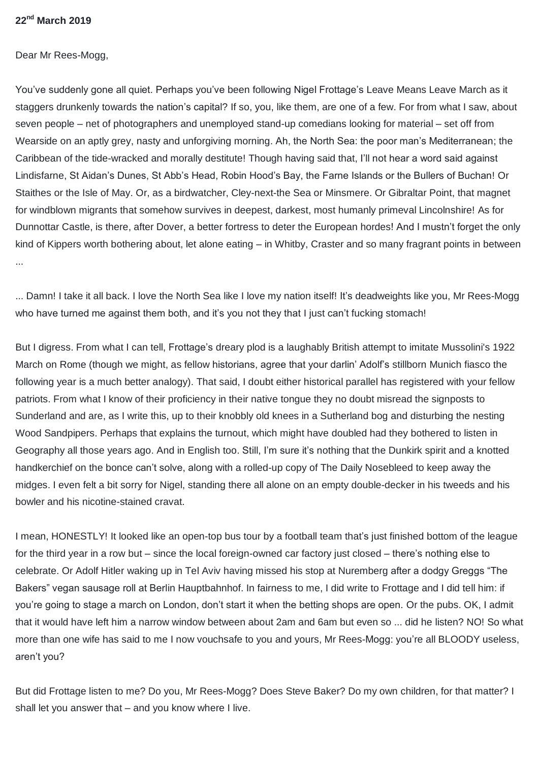## **22nd March 2019**

Dear Mr Rees-Mogg,

You've suddenly gone all quiet. Perhaps you've been following Nigel Frottage's Leave Means Leave March as it staggers drunkenly towards the nation's capital? If so, you, like them, are one of a few. For from what I saw, about seven people – net of photographers and unemployed stand-up comedians looking for material – set off from Wearside on an aptly grey, nasty and unforgiving morning. Ah, the North Sea: the poor man's Mediterranean; the Caribbean of the tide-wracked and morally destitute! Though having said that, I'll not hear a word said against Lindisfarne, St Aidan's Dunes, St Abb's Head, Robin Hood's Bay, the Farne Islands or the Bullers of Buchan! Or Staithes or the Isle of May. Or, as a birdwatcher, Cley-next-the Sea or Minsmere. Or Gibraltar Point, that magnet for windblown migrants that somehow survives in deepest, darkest, most humanly primeval Lincolnshire! As for Dunnottar Castle, is there, after Dover, a better fortress to deter the European hordes! And I mustn't forget the only kind of Kippers worth bothering about, let alone eating – in Whitby, Craster and so many fragrant points in between ...

... Damn! I take it all back. I love the North Sea like I love my nation itself! It's deadweights like you, Mr Rees-Mogg who have turned me against them both, and it's you not they that I just can't fucking stomach!

But I digress. From what I can tell, Frottage's dreary plod is a laughably British attempt to imitate Mussolini's 1922 March on Rome (though we might, as fellow historians, agree that your darlin' Adolf's stillborn Munich fiasco the following year is a much better analogy). That said, I doubt either historical parallel has registered with your fellow patriots. From what I know of their proficiency in their native tongue they no doubt misread the signposts to Sunderland and are, as I write this, up to their knobbly old knees in a Sutherland bog and disturbing the nesting Wood Sandpipers. Perhaps that explains the turnout, which might have doubled had they bothered to listen in Geography all those years ago. And in English too. Still, I'm sure it's nothing that the Dunkirk spirit and a knotted handkerchief on the bonce can't solve, along with a rolled-up copy of The Daily Nosebleed to keep away the midges. I even felt a bit sorry for Nigel, standing there all alone on an empty double-decker in his tweeds and his bowler and his nicotine-stained cravat.

I mean, HONESTLY! It looked like an open-top bus tour by a football team that's just finished bottom of the league for the third year in a row but – since the local foreign-owned car factory just closed – there's nothing else to celebrate. Or Adolf Hitler waking up in Tel Aviv having missed his stop at Nuremberg after a dodgy Greggs "The Bakers" vegan sausage roll at Berlin Hauptbahnhof. In fairness to me, I did write to Frottage and I did tell him: if you're going to stage a march on London, don't start it when the betting shops are open. Or the pubs. OK, I admit that it would have left him a narrow window between about 2am and 6am but even so ... did he listen? NO! So what more than one wife has said to me I now vouchsafe to you and yours, Mr Rees-Mogg: you're all BLOODY useless, aren't you?

But did Frottage listen to me? Do you, Mr Rees-Mogg? Does Steve Baker? Do my own children, for that matter? I shall let you answer that – and you know where I live.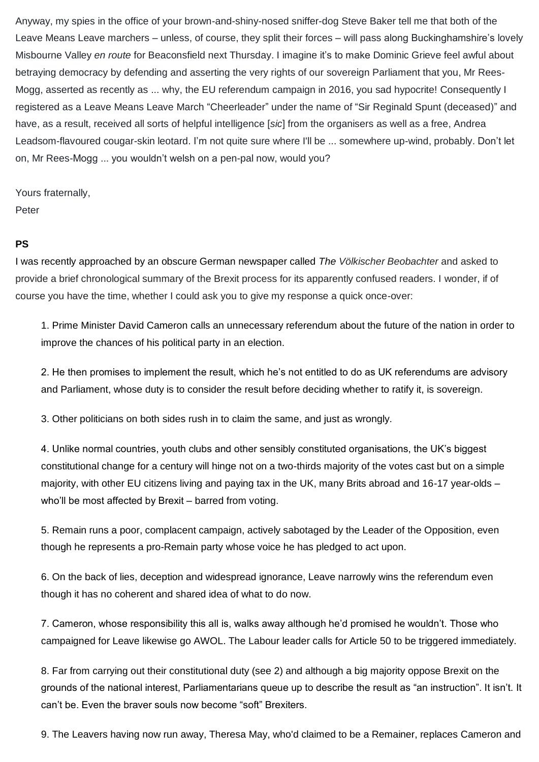Anyway, my spies in the office of your brown-and-shiny-nosed sniffer-dog Steve Baker tell me that both of the Leave Means Leave marchers – unless, of course, they split their forces – will pass along Buckinghamshire's lovely Misbourne Valley *en route* for Beaconsfield next Thursday. I imagine it's to make Dominic Grieve feel awful about betraying democracy by defending and asserting the very rights of our sovereign Parliament that you, Mr Rees-Mogg, asserted as recently as ... why, the EU referendum campaign in 2016, you sad hypocrite! Consequently I registered as a Leave Means Leave March "Cheerleader" under the name of "Sir Reginald Spunt (deceased)" and have, as a result, received all sorts of helpful intelligence [*sic*] from the organisers as well as a free, Andrea Leadsom-flavoured cougar-skin leotard. I'm not quite sure where I'll be ... somewhere up-wind, probably. Don't let on, Mr Rees-Mogg ... you wouldn't welsh on a pen-pal now, would you?

Yours fraternally, Peter

## **PS**

I was recently approached by an obscure German newspaper called *The Völkischer Beobachter* and asked to provide a brief chronological summary of the Brexit process for its apparently confused readers. I wonder, if of course you have the time, whether I could ask you to give my response a quick once-over:

1. Prime Minister David Cameron calls an unnecessary referendum about the future of the nation in order to improve the chances of his political party in an election.

2. He then promises to implement the result, which he's not entitled to do as UK referendums are advisory and Parliament, whose duty is to consider the result before deciding whether to ratify it, is sovereign.

3. Other politicians on both sides rush in to claim the same, and just as wrongly.

4. Unlike normal countries, youth clubs and other sensibly constituted organisations, the UK's biggest constitutional change for a century will hinge not on a two-thirds majority of the votes cast but on a simple majority, with other EU citizens living and paying tax in the UK, many Brits abroad and 16-17 year-olds – who'll be most affected by Brexit – barred from voting.

5. Remain runs a poor, complacent campaign, actively sabotaged by the Leader of the Opposition, even though he represents a pro-Remain party whose voice he has pledged to act upon.

6. On the back of lies, deception and widespread ignorance, Leave narrowly wins the referendum even though it has no coherent and shared idea of what to do now.

7. Cameron, whose responsibility this all is, walks away although he'd promised he wouldn't. Those who campaigned for Leave likewise go AWOL. The Labour leader calls for Article 50 to be triggered immediately.

8. Far from carrying out their constitutional duty (see 2) and although a big majority oppose Brexit on the grounds of the national interest, Parliamentarians queue up to describe the result as "an instruction". It isn't. It can't be. Even the braver souls now become "soft" Brexiters.

9. The Leavers having now run away, Theresa May, who'd claimed to be a Remainer, replaces Cameron and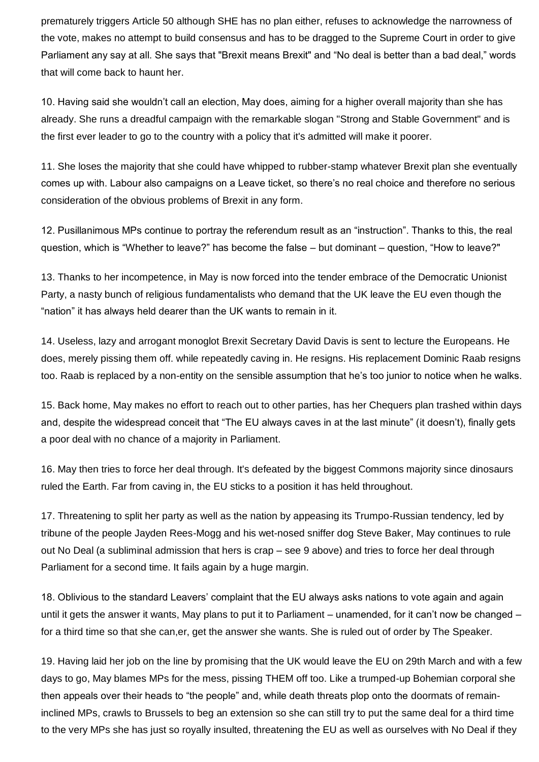prematurely triggers Article 50 although SHE has no plan either, refuses to acknowledge the narrowness of the vote, makes no attempt to build consensus and has to be dragged to the Supreme Court in order to give Parliament any say at all. She says that "Brexit means Brexit" and "No deal is better than a bad deal," words that will come back to haunt her.

10. Having said she wouldn't call an election, May does, aiming for a higher overall majority than she has already. She runs a dreadful campaign with the remarkable slogan "Strong and Stable Government" and is the first ever leader to go to the country with a policy that it's admitted will make it poorer.

11. She loses the majority that she could have whipped to rubber-stamp whatever Brexit plan she eventually comes up with. Labour also campaigns on a Leave ticket, so there's no real choice and therefore no serious consideration of the obvious problems of Brexit in any form.

12. Pusillanimous MPs continue to portray the referendum result as an "instruction". Thanks to this, the real question, which is "Whether to leave?" has become the false – but dominant – question, "How to leave?"

13. Thanks to her incompetence, in May is now forced into the tender embrace of the Democratic Unionist Party, a nasty bunch of religious fundamentalists who demand that the UK leave the EU even though the "nation" it has always held dearer than the UK wants to remain in it.

14. Useless, lazy and arrogant monoglot Brexit Secretary David Davis is sent to lecture the Europeans. He does, merely pissing them off. while repeatedly caving in. He resigns. His replacement Dominic Raab resigns too. Raab is replaced by a non-entity on the sensible assumption that he's too junior to notice when he walks.

15. Back home, May makes no effort to reach out to other parties, has her Chequers plan trashed within days and, despite the widespread conceit that "The EU always caves in at the last minute" (it doesn't), finally gets a poor deal with no chance of a majority in Parliament.

16. May then tries to force her deal through. It's defeated by the biggest Commons majority since dinosaurs ruled the Earth. Far from caving in, the EU sticks to a position it has held throughout.

17. Threatening to split her party as well as the nation by appeasing its Trumpo-Russian tendency, led by tribune of the people Jayden Rees-Mogg and his wet-nosed sniffer dog Steve Baker, May continues to rule out No Deal (a subliminal admission that hers is crap – see 9 above) and tries to force her deal through Parliament for a second time. It fails again by a huge margin.

18. Oblivious to the standard Leavers' complaint that the EU always asks nations to vote again and again until it gets the answer it wants, May plans to put it to Parliament – unamended, for it can't now be changed – for a third time so that she can,er, get the answer she wants. She is ruled out of order by The Speaker.

19. Having laid her job on the line by promising that the UK would leave the EU on 29th March and with a few days to go, May blames MPs for the mess, pissing THEM off too. Like a trumped-up Bohemian corporal she then appeals over their heads to "the people" and, while death threats plop onto the doormats of remaininclined MPs, crawls to Brussels to beg an extension so she can still try to put the same deal for a third time to the very MPs she has just so royally insulted, threatening the EU as well as ourselves with No Deal if they